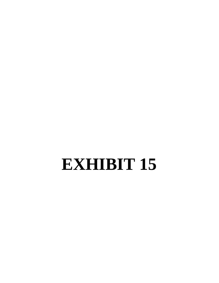# **EXHIBIT 15**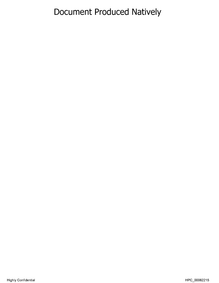### Document Produced Natively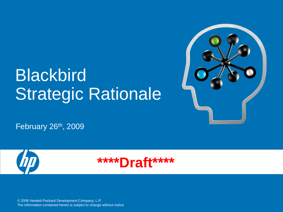## **Blackbird Strategic Rationale**



February 26th, 2009





© 2006 Hewlett-Packard Development Company, L.P. The information contained herein is subject to change without notice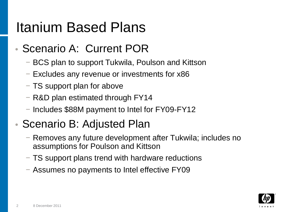### Itanium Based Plans

### • Scenario A: Current POR

- − BCS plan to support Tukwila, Poulson and Kittson
- − Excludes any revenue or investments for x86
- − TS support plan for above
- − R&D plan estimated through FY14
- − Includes \$88M payment to Intel for FY09-FY12

### • Scenario B: Adjusted Plan

- − Removes any future development after Tukwila; includes no assumptions for Poulson and Kittson
- − TS support plans trend with hardware reductions
- − Assumes no payments to Intel effective FY09

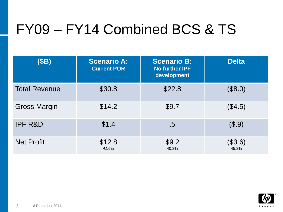### FY09 – FY14 Combined BCS & TS

| (SB)                 | <b>Scenario A:</b><br><b>Current POR</b> | <b>Scenario B:</b><br><b>No further IPF</b><br>development | <b>Delta</b>     |
|----------------------|------------------------------------------|------------------------------------------------------------|------------------|
| <b>Total Revenue</b> | \$30.8                                   | \$22.8                                                     | (\$8.0)          |
| <b>Gross Margin</b>  | \$14.2                                   | \$9.7                                                      | (\$4.5)          |
| <b>IPF R&amp;D</b>   | \$1.4                                    | $.5\,$                                                     | (\$.9)           |
| <b>Net Profit</b>    | \$12.8<br>41.6%                          | \$9.2<br>40.3%                                             | (\$3.6)<br>45.3% |

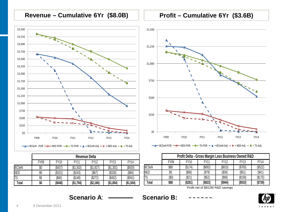### **Revenue – Cumulative 6Yr (\$8.0B) Profit – Cumulative 6Yr (\$3.6B)**



|              | Revenue Delta |         |             |             |           |             |  |
|--------------|---------------|---------|-------------|-------------|-----------|-------------|--|
|              | FY09          | FY10    | <b>FY11</b> | <b>FY12</b> | FY13      | <b>FY14</b> |  |
| <b>BCSeN</b> | \$0           | (\$437) | (\$1,502)   | (\$1,827)   | (\$1,301) | (\$920)     |  |
| <b>NED</b>   | \$0           | (\$151) | (\$143)     | (\$67)      | (\$100)   | (\$84)      |  |
| <b>TS</b>    | \$0           | (\$60)  | (\$149)     | (\$272)     | (\$452)   | $(\$501)$   |  |
| Total        | \$0           | (\$648) | (\$1,794)   | (\$2,166)   | (\$1,854) | (\$1,504)   |  |



 $\rightarrow$  BCSeN-POR  $\rightarrow$  NED-POR  $\rightarrow$  TS-POR  $\rightarrow$  BCSeN-Adj  $\rightarrow$  NED-Adj  $\rightarrow$  TS-Adj

|              | Profit Delta - Gross Margin Less Business Owned R&D |             |             |             |             |             |  |  |
|--------------|-----------------------------------------------------|-------------|-------------|-------------|-------------|-------------|--|--|
|              | <b>FY09</b>                                         | <b>FY10</b> | <b>FY11</b> | <b>FY12</b> | <b>FY13</b> | <b>FY14</b> |  |  |
| <b>BCSeN</b> | \$88                                                | \$174)      | (\$692)     | ( \$810)    | (\$700)     | (\$522)     |  |  |
| <b>NED</b>   | \$0                                                 | (\$86)      | (\$79)      | (\$36)      | (\$51)      | (\$41)      |  |  |
| TS           | $(\$0)$                                             | (\$21)      | (\$52)      | (\$98)      | (\$159)     | (\$175)     |  |  |
| Total        | \$88                                                | (\$281)     | (\$823)     | $($ \$944)  | $($ \$910)  | (\$739)     |  |  |

Profit net of \$912M R&D savings



4 8 December 2011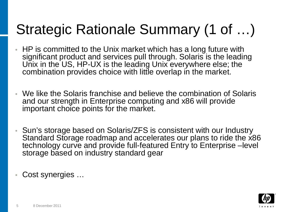## Strategic Rationale Summary (1 of …)

- HP is committed to the Unix market which has a long future with significant product and services pull through. Solaris is the leading Unix in the US, HP-UX is the leading Unix everywhere else; the combination provides choice with little overlap in the market.
- We like the Solaris franchise and believe the combination of Solaris and our strength in Enterprise computing and x86 will provide important choice points for the market.
- Sun's storage based on Solaris/ZFS is consistent with our Industry Standard Storage roadmap and accelerates our plans to ride the x86 technology curve and provide full-featured Entry to Enterprise –level storage based on industry standard gear

Cost synergies ...

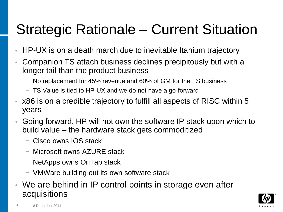## Strategic Rationale – Current Situation

- HP-UX is on a death march due to inevitable Itanium trajectory
- Companion TS attach business declines precipitously but with a longer tail than the product business
	- − No replacement for 45% revenue and 60% of GM for the TS business
	- − TS Value is tied to HP-UX and we do not have a go-forward
- x86 is on a credible trajectory to fulfill all aspects of RISC within 5 years
- Going forward, HP will not own the software IP stack upon which to build value – the hardware stack gets commoditized
	- − Cisco owns IOS stack
	- − Microsoft owns AZURE stack
	- − NetApps owns OnTap stack
	- − VMWare building out its own software stack
- We are behind in IP control points in storage even after acquisitions

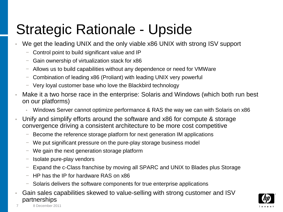## Strategic Rationale - Upside

- We get the leading UNIX and the only viable x86 UNIX with strong ISV support
	- − Control point to build significant value and IP
	- − Gain ownership of virtualization stack for x86
	- − Allows us to build capabilities without any dependence or need for VMWare
	- − Combination of leading x86 (Proliant) with leading UNIX very powerful
	- − Very loyal customer base who love the Blackbird technology
- Make it a two horse race in the enterprise: Solaris and Windows (which both run best on our platforms)
	- Windows Server cannot optimize performance & RAS the way we can with Solaris on x86
- Unify and simplify efforts around the software and x86 for compute & storage convergence driving a consistent architecture to be more cost competitive
	- − Become the reference storage platform for next generation IM applications
	- − We put significant pressure on the pure-play storage business model
	- − We gain the next generation storage platform
	- − Isolate pure-play vendors
	- − Expand the c-Class franchise by moving all SPARC and UNIX to Blades plus Storage
	- − HP has the IP for hardware RAS on x86
	- − Solaris delivers the software components for true enterprise applications
- Gain sales capabilities skewed to value-selling with strong customer and ISV partnerships

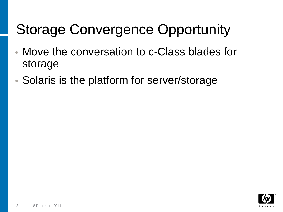## Storage Convergence Opportunity

- Move the conversation to c-Class blades for storage
- Solaris is the platform for server/storage

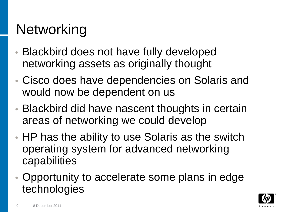### **Networking**

- Blackbird does not have fully developed networking assets as originally thought
- Cisco does have dependencies on Solaris and would now be dependent on us
- Blackbird did have nascent thoughts in certain areas of networking we could develop
- HP has the ability to use Solaris as the switch operating system for advanced networking capabilities
- Opportunity to accelerate some plans in edge technologies

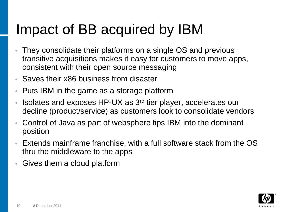### Impact of BB acquired by IBM

- They consolidate their platforms on a single OS and previous transitive acquisitions makes it easy for customers to move apps, consistent with their open source messaging
- Saves their x86 business from disaster
- Puts IBM in the game as a storage platform
- Isolates and exposes HP-UX as 3rd tier player, accelerates our decline (product/service) as customers look to consolidate vendors
- Control of Java as part of websphere tips IBM into the dominant position
- Extends mainframe franchise, with a full software stack from the OS thru the middleware to the apps
- Gives them a cloud platform